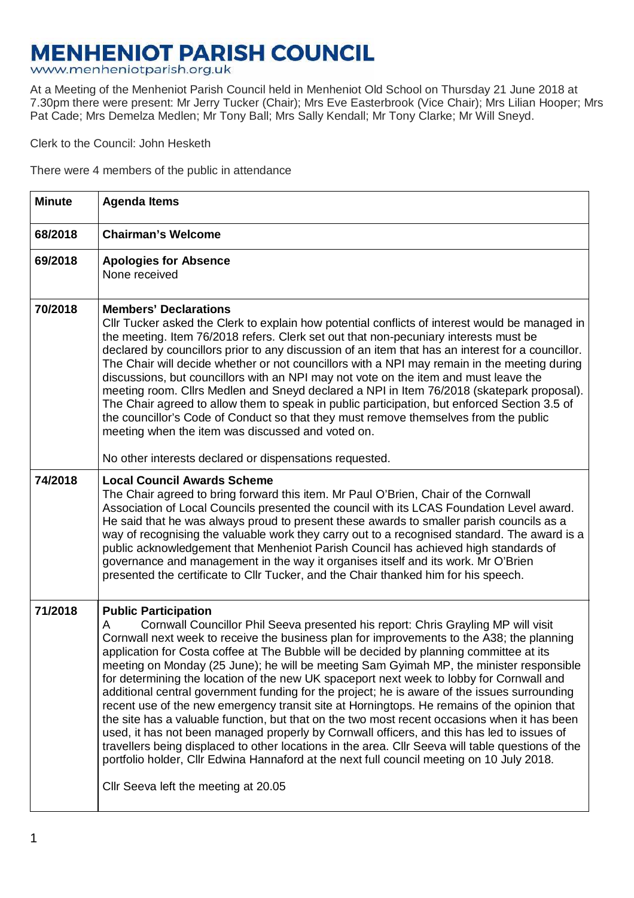## **MENHENIOT PARISH COUNCIL**

www.menheniotparish.org.uk

At a Meeting of the Menheniot Parish Council held in Menheniot Old School on Thursday 21 June 2018 at 7.30pm there were present: Mr Jerry Tucker (Chair); Mrs Eve Easterbrook (Vice Chair); Mrs Lilian Hooper; Mrs Pat Cade; Mrs Demelza Medlen; Mr Tony Ball; Mrs Sally Kendall; Mr Tony Clarke; Mr Will Sneyd.

Clerk to the Council: John Hesketh

There were 4 members of the public in attendance

| <b>Minute</b> | <b>Agenda Items</b>                                                                                                                                                                                                                                                                                                                                                                                                                                                                                                                                                                                                                                                                                                                                                                                                                                                                                                                                                                                                                                                                                                                         |  |  |  |
|---------------|---------------------------------------------------------------------------------------------------------------------------------------------------------------------------------------------------------------------------------------------------------------------------------------------------------------------------------------------------------------------------------------------------------------------------------------------------------------------------------------------------------------------------------------------------------------------------------------------------------------------------------------------------------------------------------------------------------------------------------------------------------------------------------------------------------------------------------------------------------------------------------------------------------------------------------------------------------------------------------------------------------------------------------------------------------------------------------------------------------------------------------------------|--|--|--|
| 68/2018       | <b>Chairman's Welcome</b>                                                                                                                                                                                                                                                                                                                                                                                                                                                                                                                                                                                                                                                                                                                                                                                                                                                                                                                                                                                                                                                                                                                   |  |  |  |
| 69/2018       | <b>Apologies for Absence</b><br>None received                                                                                                                                                                                                                                                                                                                                                                                                                                                                                                                                                                                                                                                                                                                                                                                                                                                                                                                                                                                                                                                                                               |  |  |  |
| 70/2018       | <b>Members' Declarations</b><br>Cllr Tucker asked the Clerk to explain how potential conflicts of interest would be managed in<br>the meeting. Item 76/2018 refers. Clerk set out that non-pecuniary interests must be<br>declared by councillors prior to any discussion of an item that has an interest for a councillor.<br>The Chair will decide whether or not councillors with a NPI may remain in the meeting during<br>discussions, but councillors with an NPI may not vote on the item and must leave the<br>meeting room. Cllrs Medlen and Sneyd declared a NPI in Item 76/2018 (skatepark proposal).<br>The Chair agreed to allow them to speak in public participation, but enforced Section 3.5 of<br>the councillor's Code of Conduct so that they must remove themselves from the public<br>meeting when the item was discussed and voted on.                                                                                                                                                                                                                                                                               |  |  |  |
|               | No other interests declared or dispensations requested.                                                                                                                                                                                                                                                                                                                                                                                                                                                                                                                                                                                                                                                                                                                                                                                                                                                                                                                                                                                                                                                                                     |  |  |  |
| 74/2018       | <b>Local Council Awards Scheme</b><br>The Chair agreed to bring forward this item. Mr Paul O'Brien, Chair of the Cornwall<br>Association of Local Councils presented the council with its LCAS Foundation Level award.<br>He said that he was always proud to present these awards to smaller parish councils as a<br>way of recognising the valuable work they carry out to a recognised standard. The award is a<br>public acknowledgement that Menheniot Parish Council has achieved high standards of<br>governance and management in the way it organises itself and its work. Mr O'Brien<br>presented the certificate to CIIr Tucker, and the Chair thanked him for his speech.                                                                                                                                                                                                                                                                                                                                                                                                                                                       |  |  |  |
| 71/2018       | <b>Public Participation</b><br>Cornwall Councillor Phil Seeva presented his report: Chris Grayling MP will visit<br>A<br>Cornwall next week to receive the business plan for improvements to the A38; the planning<br>application for Costa coffee at The Bubble will be decided by planning committee at its<br>meeting on Monday (25 June); he will be meeting Sam Gyimah MP, the minister responsible<br>for determining the location of the new UK spaceport next week to lobby for Cornwall and<br>additional central government funding for the project; he is aware of the issues surrounding<br>recent use of the new emergency transit site at Horningtops. He remains of the opinion that<br>the site has a valuable function, but that on the two most recent occasions when it has been<br>used, it has not been managed properly by Cornwall officers, and this has led to issues of<br>travellers being displaced to other locations in the area. Cllr Seeva will table questions of the<br>portfolio holder, Cllr Edwina Hannaford at the next full council meeting on 10 July 2018.<br>Cllr Seeva left the meeting at 20.05 |  |  |  |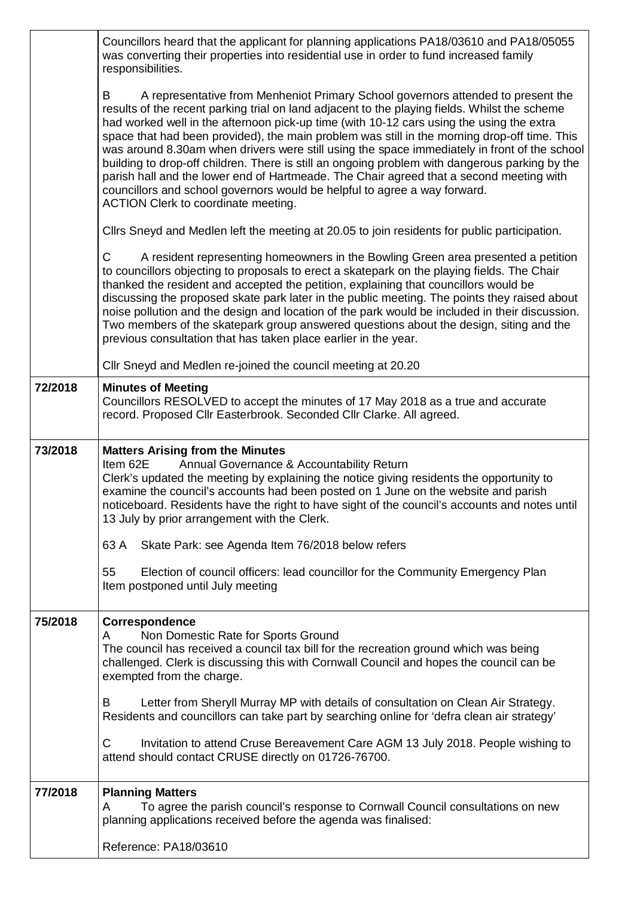|         | Councillors heard that the applicant for planning applications PA18/03610 and PA18/05055<br>was converting their properties into residential use in order to fund increased family<br>responsibilities.                                                                                                                                                                                                                                                                                                                                                                                                                                                                                                                                                                                             |  |  |  |  |  |
|---------|-----------------------------------------------------------------------------------------------------------------------------------------------------------------------------------------------------------------------------------------------------------------------------------------------------------------------------------------------------------------------------------------------------------------------------------------------------------------------------------------------------------------------------------------------------------------------------------------------------------------------------------------------------------------------------------------------------------------------------------------------------------------------------------------------------|--|--|--|--|--|
|         | B<br>A representative from Menheniot Primary School governors attended to present the<br>results of the recent parking trial on land adjacent to the playing fields. Whilst the scheme<br>had worked well in the afternoon pick-up time (with 10-12 cars using the using the extra<br>space that had been provided), the main problem was still in the morning drop-off time. This<br>was around 8.30am when drivers were still using the space immediately in front of the school<br>building to drop-off children. There is still an ongoing problem with dangerous parking by the<br>parish hall and the lower end of Hartmeade. The Chair agreed that a second meeting with<br>councillors and school governors would be helpful to agree a way forward.<br>ACTION Clerk to coordinate meeting. |  |  |  |  |  |
|         | Cllrs Sneyd and Medlen left the meeting at 20.05 to join residents for public participation.                                                                                                                                                                                                                                                                                                                                                                                                                                                                                                                                                                                                                                                                                                        |  |  |  |  |  |
|         | A resident representing homeowners in the Bowling Green area presented a petition<br>C<br>to councillors objecting to proposals to erect a skatepark on the playing fields. The Chair<br>thanked the resident and accepted the petition, explaining that councillors would be<br>discussing the proposed skate park later in the public meeting. The points they raised about<br>noise pollution and the design and location of the park would be included in their discussion.<br>Two members of the skatepark group answered questions about the design, siting and the<br>previous consultation that has taken place earlier in the year.                                                                                                                                                        |  |  |  |  |  |
|         | Cllr Sneyd and Medlen re-joined the council meeting at 20.20                                                                                                                                                                                                                                                                                                                                                                                                                                                                                                                                                                                                                                                                                                                                        |  |  |  |  |  |
| 72/2018 | <b>Minutes of Meeting</b><br>Councillors RESOLVED to accept the minutes of 17 May 2018 as a true and accurate<br>record. Proposed Cllr Easterbrook. Seconded Cllr Clarke. All agreed.                                                                                                                                                                                                                                                                                                                                                                                                                                                                                                                                                                                                               |  |  |  |  |  |
|         | <b>Matters Arising from the Minutes</b><br>Item 62E<br>Annual Governance & Accountability Return<br>Clerk's updated the meeting by explaining the notice giving residents the opportunity to<br>examine the council's accounts had been posted on 1 June on the website and parish<br>noticeboard. Residents have the right to have sight of the council's accounts and notes until<br>13 July by prior arrangement with the Clerk.                                                                                                                                                                                                                                                                                                                                                                 |  |  |  |  |  |
| 73/2018 |                                                                                                                                                                                                                                                                                                                                                                                                                                                                                                                                                                                                                                                                                                                                                                                                     |  |  |  |  |  |
|         | Skate Park: see Agenda Item 76/2018 below refers<br>63 A                                                                                                                                                                                                                                                                                                                                                                                                                                                                                                                                                                                                                                                                                                                                            |  |  |  |  |  |
|         | 55<br>Election of council officers: lead councillor for the Community Emergency Plan<br>Item postponed until July meeting                                                                                                                                                                                                                                                                                                                                                                                                                                                                                                                                                                                                                                                                           |  |  |  |  |  |
| 75/2018 | Correspondence<br>Non Domestic Rate for Sports Ground<br>A<br>The council has received a council tax bill for the recreation ground which was being<br>challenged. Clerk is discussing this with Cornwall Council and hopes the council can be<br>exempted from the charge.                                                                                                                                                                                                                                                                                                                                                                                                                                                                                                                         |  |  |  |  |  |
|         | B<br>Letter from Sheryll Murray MP with details of consultation on Clean Air Strategy.<br>Residents and councillors can take part by searching online for 'defra clean air strategy'                                                                                                                                                                                                                                                                                                                                                                                                                                                                                                                                                                                                                |  |  |  |  |  |
|         | $\mathsf{C}$<br>Invitation to attend Cruse Bereavement Care AGM 13 July 2018. People wishing to<br>attend should contact CRUSE directly on 01726-76700.                                                                                                                                                                                                                                                                                                                                                                                                                                                                                                                                                                                                                                             |  |  |  |  |  |
| 77/2018 | <b>Planning Matters</b>                                                                                                                                                                                                                                                                                                                                                                                                                                                                                                                                                                                                                                                                                                                                                                             |  |  |  |  |  |
|         | To agree the parish council's response to Cornwall Council consultations on new<br>A<br>planning applications received before the agenda was finalised:                                                                                                                                                                                                                                                                                                                                                                                                                                                                                                                                                                                                                                             |  |  |  |  |  |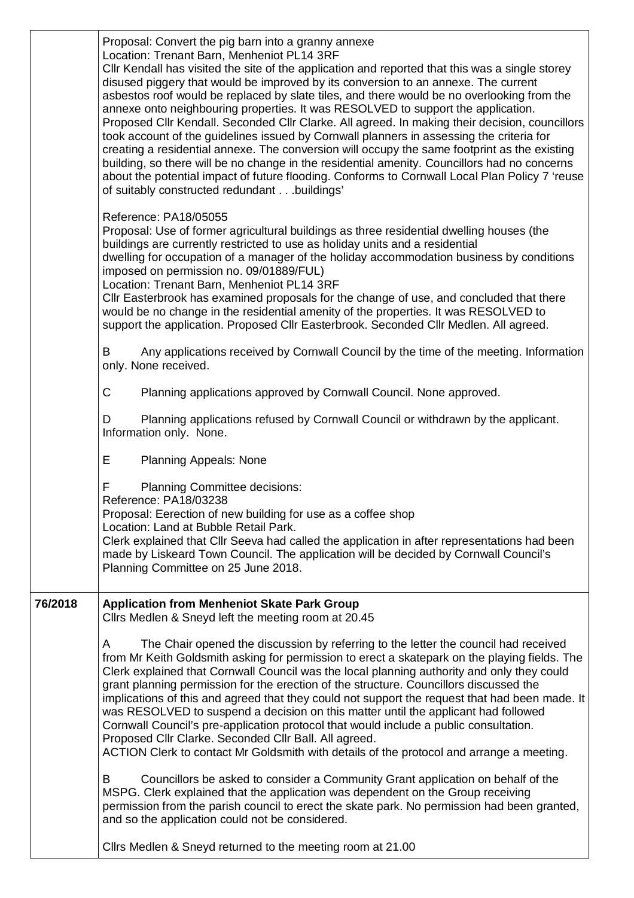|         | Proposal: Convert the pig barn into a granny annexe<br>Location: Trenant Barn, Menheniot PL14 3RF<br>Cllr Kendall has visited the site of the application and reported that this was a single storey<br>disused piggery that would be improved by its conversion to an annexe. The current<br>asbestos roof would be replaced by slate tiles, and there would be no overlooking from the<br>annexe onto neighbouring properties. It was RESOLVED to support the application.<br>Proposed Cllr Kendall. Seconded Cllr Clarke. All agreed. In making their decision, councillors<br>took account of the guidelines issued by Cornwall planners in assessing the criteria for<br>creating a residential annexe. The conversion will occupy the same footprint as the existing<br>building, so there will be no change in the residential amenity. Councillors had no concerns<br>about the potential impact of future flooding. Conforms to Cornwall Local Plan Policy 7 'reuse<br>of suitably constructed redundantbuildings' |
|---------|-----------------------------------------------------------------------------------------------------------------------------------------------------------------------------------------------------------------------------------------------------------------------------------------------------------------------------------------------------------------------------------------------------------------------------------------------------------------------------------------------------------------------------------------------------------------------------------------------------------------------------------------------------------------------------------------------------------------------------------------------------------------------------------------------------------------------------------------------------------------------------------------------------------------------------------------------------------------------------------------------------------------------------|
|         | Reference: PA18/05055<br>Proposal: Use of former agricultural buildings as three residential dwelling houses (the<br>buildings are currently restricted to use as holiday units and a residential<br>dwelling for occupation of a manager of the holiday accommodation business by conditions<br>imposed on permission no. 09/01889/FUL)<br>Location: Trenant Barn, Menheniot PL14 3RF<br>CIIr Easterbrook has examined proposals for the change of use, and concluded that there<br>would be no change in the residential amenity of the properties. It was RESOLVED to<br>support the application. Proposed Cllr Easterbrook. Seconded Cllr Medlen. All agreed.                                                                                                                                                                                                                                                                                                                                                           |
|         | Any applications received by Cornwall Council by the time of the meeting. Information<br>В<br>only. None received.                                                                                                                                                                                                                                                                                                                                                                                                                                                                                                                                                                                                                                                                                                                                                                                                                                                                                                          |
|         | $\mathsf C$<br>Planning applications approved by Cornwall Council. None approved.                                                                                                                                                                                                                                                                                                                                                                                                                                                                                                                                                                                                                                                                                                                                                                                                                                                                                                                                           |
|         | Planning applications refused by Cornwall Council or withdrawn by the applicant.<br>D<br>Information only. None.                                                                                                                                                                                                                                                                                                                                                                                                                                                                                                                                                                                                                                                                                                                                                                                                                                                                                                            |
|         | E<br><b>Planning Appeals: None</b>                                                                                                                                                                                                                                                                                                                                                                                                                                                                                                                                                                                                                                                                                                                                                                                                                                                                                                                                                                                          |
|         | F<br><b>Planning Committee decisions:</b><br>Reference: PA18/03238<br>Proposal: Eerection of new building for use as a coffee shop<br>Location: Land at Bubble Retail Park.<br>Clerk explained that Cllr Seeva had called the application in after representations had been<br>made by Liskeard Town Council. The application will be decided by Cornwall Council's<br>Planning Committee on 25 June 2018.                                                                                                                                                                                                                                                                                                                                                                                                                                                                                                                                                                                                                  |
| 76/2018 | <b>Application from Menheniot Skate Park Group</b><br>Clirs Medlen & Sneyd left the meeting room at 20.45                                                                                                                                                                                                                                                                                                                                                                                                                                                                                                                                                                                                                                                                                                                                                                                                                                                                                                                   |
|         | The Chair opened the discussion by referring to the letter the council had received<br>A<br>from Mr Keith Goldsmith asking for permission to erect a skatepark on the playing fields. The<br>Clerk explained that Cornwall Council was the local planning authority and only they could<br>grant planning permission for the erection of the structure. Councillors discussed the<br>implications of this and agreed that they could not support the request that had been made. It<br>was RESOLVED to suspend a decision on this matter until the applicant had followed<br>Cornwall Council's pre-application protocol that would include a public consultation.<br>Proposed Cllr Clarke. Seconded Cllr Ball. All agreed.<br>ACTION Clerk to contact Mr Goldsmith with details of the protocol and arrange a meeting.                                                                                                                                                                                                     |
|         | Councillors be asked to consider a Community Grant application on behalf of the<br>В<br>MSPG. Clerk explained that the application was dependent on the Group receiving<br>permission from the parish council to erect the skate park. No permission had been granted,<br>and so the application could not be considered.                                                                                                                                                                                                                                                                                                                                                                                                                                                                                                                                                                                                                                                                                                   |
|         | Cllrs Medlen & Sneyd returned to the meeting room at 21.00                                                                                                                                                                                                                                                                                                                                                                                                                                                                                                                                                                                                                                                                                                                                                                                                                                                                                                                                                                  |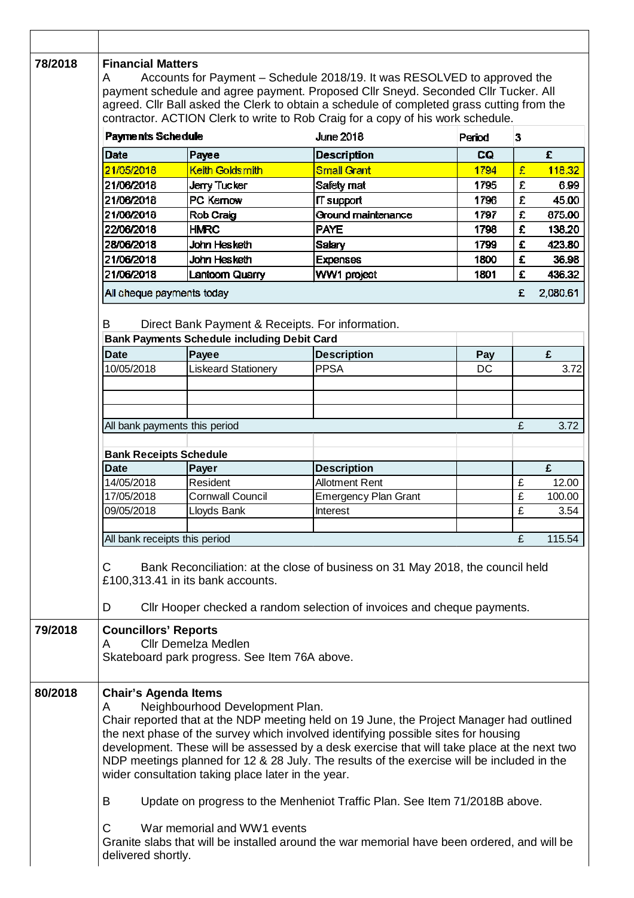| 78/2018 | <b>Financial Matters</b><br>Accounts for Payment – Schedule 2018/19. It was RESOLVED to approved the<br>A<br>payment schedule and agree payment. Proposed Cllr Sneyd. Seconded Cllr Tucker. All                                                                                                                                                                                                                                                                                                                                                                                                                                                                                                                                                      |                                                                                                        |                             |        |   |          |  |  |  |
|---------|------------------------------------------------------------------------------------------------------------------------------------------------------------------------------------------------------------------------------------------------------------------------------------------------------------------------------------------------------------------------------------------------------------------------------------------------------------------------------------------------------------------------------------------------------------------------------------------------------------------------------------------------------------------------------------------------------------------------------------------------------|--------------------------------------------------------------------------------------------------------|-----------------------------|--------|---|----------|--|--|--|
|         | agreed. Cllr Ball asked the Clerk to obtain a schedule of completed grass cutting from the<br>contractor. ACTION Clerk to write to Rob Craig for a copy of his work schedule.                                                                                                                                                                                                                                                                                                                                                                                                                                                                                                                                                                        |                                                                                                        |                             |        |   |          |  |  |  |
|         | Payments Schedule                                                                                                                                                                                                                                                                                                                                                                                                                                                                                                                                                                                                                                                                                                                                    |                                                                                                        | <b>June 2018</b>            | Period | 3 |          |  |  |  |
|         | Date                                                                                                                                                                                                                                                                                                                                                                                                                                                                                                                                                                                                                                                                                                                                                 | Payee                                                                                                  | <b>Description</b>          | CQ     |   | £        |  |  |  |
|         | 21/05/2018                                                                                                                                                                                                                                                                                                                                                                                                                                                                                                                                                                                                                                                                                                                                           | Keith Goldsmith                                                                                        | <b>Small Grant</b>          | 1794   | £ | 118.32   |  |  |  |
|         | 21/06/2018                                                                                                                                                                                                                                                                                                                                                                                                                                                                                                                                                                                                                                                                                                                                           | <b>Jerry Tucker</b>                                                                                    | <b>Safety mat</b>           | 1795   | £ | 6.99     |  |  |  |
|         | 21/06/2018                                                                                                                                                                                                                                                                                                                                                                                                                                                                                                                                                                                                                                                                                                                                           | PC Kernow                                                                                              | IT support                  | 1796   | £ | 45.00    |  |  |  |
|         | 21/06/2018                                                                                                                                                                                                                                                                                                                                                                                                                                                                                                                                                                                                                                                                                                                                           | Rob Craig                                                                                              | Ground maintenance          | 1797   | £ | 875.00   |  |  |  |
|         | 22/06/2018                                                                                                                                                                                                                                                                                                                                                                                                                                                                                                                                                                                                                                                                                                                                           | <b>HMRC</b>                                                                                            | <b>PAYE</b>                 | 1798   | £ | 138.20   |  |  |  |
|         | 28/06/2018                                                                                                                                                                                                                                                                                                                                                                                                                                                                                                                                                                                                                                                                                                                                           | John Hesketh                                                                                           | Salary                      | 1799   | £ | 423.80   |  |  |  |
|         | 21/06/2018                                                                                                                                                                                                                                                                                                                                                                                                                                                                                                                                                                                                                                                                                                                                           | John Hesketh                                                                                           | <b>Expenses</b>             | 1800   | £ | 36.98    |  |  |  |
|         | 21/06/2018                                                                                                                                                                                                                                                                                                                                                                                                                                                                                                                                                                                                                                                                                                                                           | Lantoom Quarry                                                                                         | WW1 project                 | 1801   | £ | 436.32   |  |  |  |
|         | All cheque payments today                                                                                                                                                                                                                                                                                                                                                                                                                                                                                                                                                                                                                                                                                                                            |                                                                                                        |                             |        | £ | 2,080.61 |  |  |  |
|         | B                                                                                                                                                                                                                                                                                                                                                                                                                                                                                                                                                                                                                                                                                                                                                    | Direct Bank Payment & Receipts. For information.<br><b>Bank Payments Schedule including Debit Card</b> |                             |        |   |          |  |  |  |
|         | <b>Date</b>                                                                                                                                                                                                                                                                                                                                                                                                                                                                                                                                                                                                                                                                                                                                          | Payee                                                                                                  | <b>Description</b>          | Pay    |   | £        |  |  |  |
|         | 10/05/2018                                                                                                                                                                                                                                                                                                                                                                                                                                                                                                                                                                                                                                                                                                                                           | <b>Liskeard Stationery</b>                                                                             | <b>PPSA</b>                 | DC     |   | 3.72     |  |  |  |
|         |                                                                                                                                                                                                                                                                                                                                                                                                                                                                                                                                                                                                                                                                                                                                                      |                                                                                                        |                             |        |   |          |  |  |  |
|         |                                                                                                                                                                                                                                                                                                                                                                                                                                                                                                                                                                                                                                                                                                                                                      |                                                                                                        |                             |        |   |          |  |  |  |
|         |                                                                                                                                                                                                                                                                                                                                                                                                                                                                                                                                                                                                                                                                                                                                                      |                                                                                                        |                             |        |   |          |  |  |  |
|         | All bank payments this period                                                                                                                                                                                                                                                                                                                                                                                                                                                                                                                                                                                                                                                                                                                        |                                                                                                        |                             |        | £ | 3.72     |  |  |  |
|         | <b>Bank Receipts Schedule</b>                                                                                                                                                                                                                                                                                                                                                                                                                                                                                                                                                                                                                                                                                                                        |                                                                                                        |                             |        |   |          |  |  |  |
|         | <b>Date</b>                                                                                                                                                                                                                                                                                                                                                                                                                                                                                                                                                                                                                                                                                                                                          | Payer                                                                                                  | <b>Description</b>          |        |   | £        |  |  |  |
|         | 14/05/2018                                                                                                                                                                                                                                                                                                                                                                                                                                                                                                                                                                                                                                                                                                                                           | Resident                                                                                               | <b>Allotment Rent</b>       |        | £ | 12.00    |  |  |  |
|         | 17/05/2018                                                                                                                                                                                                                                                                                                                                                                                                                                                                                                                                                                                                                                                                                                                                           | <b>Cornwall Council</b>                                                                                | <b>Emergency Plan Grant</b> |        | £ | 100.00   |  |  |  |
|         | 09/05/2018                                                                                                                                                                                                                                                                                                                                                                                                                                                                                                                                                                                                                                                                                                                                           | Lloyds Bank                                                                                            | Interest                    |        | £ | 3.54     |  |  |  |
|         | All bank receipts this period                                                                                                                                                                                                                                                                                                                                                                                                                                                                                                                                                                                                                                                                                                                        |                                                                                                        |                             |        | £ | 115.54   |  |  |  |
|         | Bank Reconciliation: at the close of business on 31 May 2018, the council held<br>C<br>£100,313.41 in its bank accounts.                                                                                                                                                                                                                                                                                                                                                                                                                                                                                                                                                                                                                             |                                                                                                        |                             |        |   |          |  |  |  |
|         | Cllr Hooper checked a random selection of invoices and cheque payments.<br>D                                                                                                                                                                                                                                                                                                                                                                                                                                                                                                                                                                                                                                                                         |                                                                                                        |                             |        |   |          |  |  |  |
| 79/2018 | <b>Councillors' Reports</b><br><b>Cllr Demelza Medlen</b><br>A<br>Skateboard park progress. See Item 76A above.                                                                                                                                                                                                                                                                                                                                                                                                                                                                                                                                                                                                                                      |                                                                                                        |                             |        |   |          |  |  |  |
| 80/2018 | <b>Chair's Agenda Items</b><br>Neighbourhood Development Plan.<br>A<br>Chair reported that at the NDP meeting held on 19 June, the Project Manager had outlined<br>the next phase of the survey which involved identifying possible sites for housing<br>development. These will be assessed by a desk exercise that will take place at the next two<br>NDP meetings planned for 12 & 28 July. The results of the exercise will be included in the<br>wider consultation taking place later in the year.<br>В<br>Update on progress to the Menheniot Traffic Plan. See Item 71/2018B above.<br>C<br>War memorial and WW1 events<br>Granite slabs that will be installed around the war memorial have been ordered, and will be<br>delivered shortly. |                                                                                                        |                             |        |   |          |  |  |  |